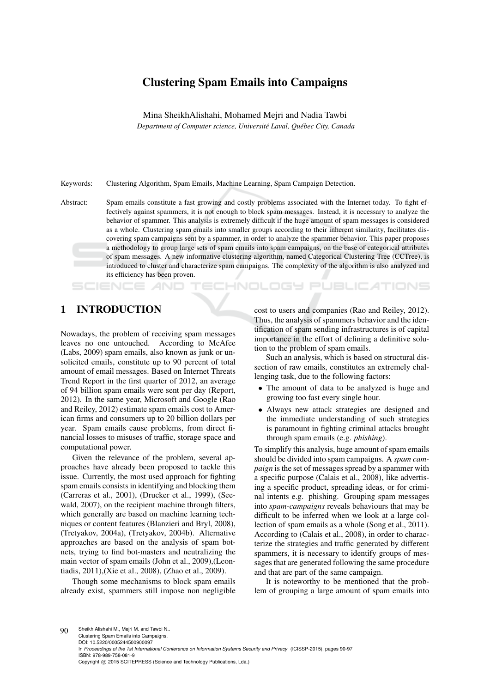# Clustering Spam Emails into Campaigns

Mina SheikhAlishahi, Mohamed Mejri and Nadia Tawbi *Department of Computer science, Université Laval, Québec City, Canada* 

Keywords: Clustering Algorithm, Spam Emails, Machine Learning, Spam Campaign Detection.

Abstract: Spam emails constitute a fast growing and costly problems associated with the Internet today. To fight effectively against spammers, it is not enough to block spam messages. Instead, it is necessary to analyze the behavior of spammer. This analysis is extremely difficult if the huge amount of spam messages is considered as a whole. Clustering spam emails into smaller groups according to their inherent similarity, facilitates discovering spam campaigns sent by a spammer, in order to analyze the spammer behavior. This paper proposes a methodology to group large sets of spam emails into spam campaigns, on the base of categorical attributes of spam messages. A new informative clustering algorithm, named Categorical Clustering Tree (CCTree), is introduced to cluster and characterize spam campaigns. The complexity of the algorithm is also analyzed and its efficiency has been proven.

IHNOLOGY

### 1 INTRODUCTION

Nowadays, the problem of receiving spam messages leaves no one untouched. According to McAfee (Labs, 2009) spam emails, also known as junk or unsolicited emails, constitute up to 90 percent of total amount of email messages. Based on Internet Threats Trend Report in the first quarter of 2012, an average of 94 billion spam emails were sent per day (Report, 2012). In the same year, Microsoft and Google (Rao and Reiley, 2012) estimate spam emails cost to American firms and consumers up to 20 billion dollars per year. Spam emails cause problems, from direct financial losses to misuses of traffic, storage space and computational power.

Given the relevance of the problem, several approaches have already been proposed to tackle this issue. Currently, the most used approach for fighting spam emails consists in identifying and blocking them (Carreras et al., 2001), (Drucker et al., 1999), (Seewald, 2007), on the recipient machine through filters, which generally are based on machine learning techniques or content features (Blanzieri and Bryl, 2008), (Tretyakov, 2004a), (Tretyakov, 2004b). Alternative approaches are based on the analysis of spam botnets, trying to find bot-masters and neutralizing the main vector of spam emails (John et al., 2009),(Leontiadis, 2011),(Xie et al., 2008), (Zhao et al., 2009).

Though some mechanisms to block spam emails already exist, spammers still impose non negligible cost to users and companies (Rao and Reiley, 2012). Thus, the analysis of spammers behavior and the identification of spam sending infrastructures is of capital importance in the effort of defining a definitive solution to the problem of spam emails.

**JBLIC ATIONS** 

Such an analysis, which is based on structural dissection of raw emails, constitutes an extremely challenging task, due to the following factors:

- The amount of data to be analyzed is huge and growing too fast every single hour.
- Always new attack strategies are designed and the immediate understanding of such strategies is paramount in fighting criminal attacks brought through spam emails (e.g. *phishing*).

To simplify this analysis, huge amount of spam emails should be divided into spam campaigns. A *spam campaign* is the set of messages spread by a spammer with a specific purpose (Calais et al., 2008), like advertising a specific product, spreading ideas, or for criminal intents e.g. phishing. Grouping spam messages into *spam-campaigns* reveals behaviours that may be difficult to be inferred when we look at a large collection of spam emails as a whole (Song et al., 2011). According to (Calais et al., 2008), in order to characterize the strategies and traffic generated by different spammers, it is necessary to identify groups of messages that are generated following the same procedure and that are part of the same campaign.

It is noteworthy to be mentioned that the problem of grouping a large amount of spam emails into

90 Sheikh Alishahi M., Mejri M. and Tawbi N. Clustering Spam Emails into Campaigns. DOI: 10.5220/0005244500900097 In *Proceedings of the 1st International Conference on Information Systems Security and Privacy* (ICISSP-2015), pages 90-97 ISBN: 978-989-758-081-9 Copyright © 2015 SCITEPRESS (Science and Technology Publications, Lda.)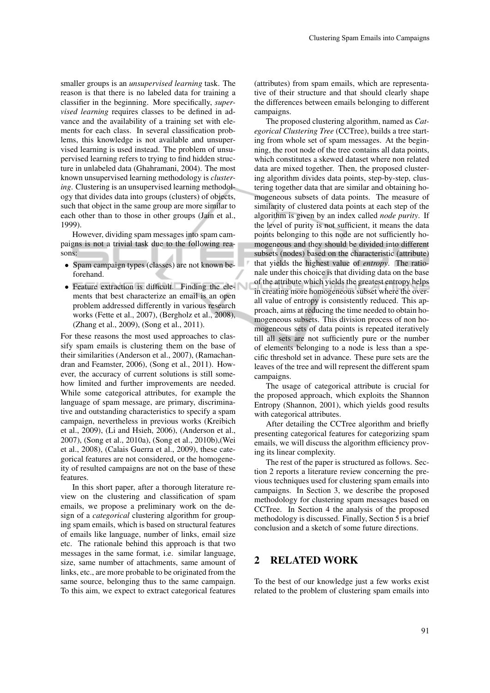smaller groups is an *unsupervised learning* task. The reason is that there is no labeled data for training a classifier in the beginning. More specifically, *supervised learning* requires classes to be defined in advance and the availability of a training set with elements for each class. In several classification problems, this knowledge is not available and unsupervised learning is used instead. The problem of unsupervised learning refers to trying to find hidden structure in unlabeled data (Ghahramani, 2004). The most known unsupervised learning methodology is *clustering*. Clustering is an unsupervised learning methodology that divides data into groups (clusters) of objects, such that object in the same group are more similar to each other than to those in other groups (Jain et al., 1999).

However, dividing spam messages into spam campaigns is not a trivial task due to the following reasons:

- Spam campaign types (classes) are not known beforehand.
- Feature extraction is difficult. Finding the elements that best characterize an email is an open problem addressed differently in various research works (Fette et al., 2007), (Bergholz et al., 2008), (Zhang et al., 2009), (Song et al., 2011).

For these reasons the most used approaches to classify spam emails is clustering them on the base of their similarities (Anderson et al., 2007), (Ramachandran and Feamster, 2006), (Song et al., 2011). However, the accuracy of current solutions is still somehow limited and further improvements are needed. While some categorical attributes, for example the language of spam message, are primary, discriminative and outstanding characteristics to specify a spam campaign, nevertheless in previous works (Kreibich et al., 2009), (Li and Hsieh, 2006), (Anderson et al., 2007), (Song et al., 2010a), (Song et al., 2010b),(Wei et al., 2008), (Calais Guerra et al., 2009), these categorical features are not considered, or the homogeneity of resulted campaigns are not on the base of these features.

In this short paper, after a thorough literature review on the clustering and classification of spam emails, we propose a preliminary work on the design of a *categorical* clustering algorithm for grouping spam emails, which is based on structural features of emails like language, number of links, email size etc. The rationale behind this approach is that two messages in the same format, i.e. similar language, size, same number of attachments, same amount of links, etc., are more probable to be originated from the same source, belonging thus to the same campaign. To this aim, we expect to extract categorical features (attributes) from spam emails, which are representative of their structure and that should clearly shape the differences between emails belonging to different campaigns.

The proposed clustering algorithm, named as *Categorical Clustering Tree* (CCTree), builds a tree starting from whole set of spam messages. At the beginning, the root node of the tree contains all data points, which constitutes a skewed dataset where non related data are mixed together. Then, the proposed clustering algorithm divides data points, step-by-step, clustering together data that are similar and obtaining homogeneous subsets of data points. The measure of similarity of clustered data points at each step of the algorithm is given by an index called *node purity*. If the level of purity is not sufficient, it means the data points belonging to this node are not sufficiently homogeneous and they should be divided into different subsets (nodes) based on the characteristic (attribute) that yields the highest value of *entropy*. The rationale under this choice is that dividing data on the base of the attribute which yields the greatest entropy helps in creating more homogeneous subset where the overall value of entropy is consistently reduced. This approach, aims at reducing the time needed to obtain homogeneous subsets. This division process of non homogeneous sets of data points is repeated iteratively till all sets are not sufficiently pure or the number of elements belonging to a node is less than a specific threshold set in advance. These pure sets are the leaves of the tree and will represent the different spam campaigns.

The usage of categorical attribute is crucial for the proposed approach, which exploits the Shannon Entropy (Shannon, 2001), which yields good results with categorical attributes.

After detailing the CCTree algorithm and briefly presenting categorical features for categorizing spam emails, we will discuss the algorithm efficiency proving its linear complexity.

The rest of the paper is structured as follows. Section 2 reports a literature review concerning the previous techniques used for clustering spam emails into campaigns. In Section 3, we describe the proposed methodology for clustering spam messages based on CCTree. In Section 4 the analysis of the proposed methodology is discussed. Finally, Section 5 is a brief conclusion and a sketch of some future directions.

### 2 RELATED WORK

To the best of our knowledge just a few works exist related to the problem of clustering spam emails into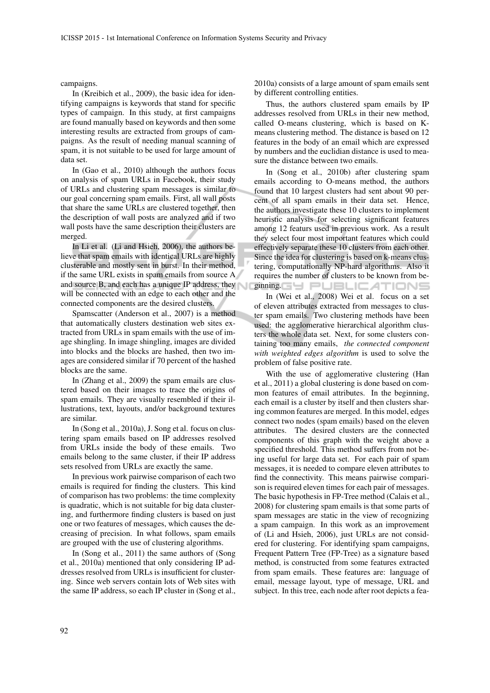campaigns.

In (Kreibich et al., 2009), the basic idea for identifying campaigns is keywords that stand for specific types of campaign. In this study, at first campaigns are found manually based on keywords and then some interesting results are extracted from groups of campaigns. As the result of needing manual scanning of spam, it is not suitable to be used for large amount of data set.

In (Gao et al., 2010) although the authors focus on analysis of spam URLs in Facebook, their study of URLs and clustering spam messages is similar to our goal concerning spam emails. First, all wall posts that share the same URLs are clustered together, then the description of wall posts are analyzed and if two wall posts have the same description their clusters are merged.

In Li et al. (Li and Hsieh, 2006), the authors believe that spam emails with identical URLs are highly clusterable and mostly sent in burst. In their method, if the same URL exists in spam emails from source A and source B, and each has a unique IP address, they will be connected with an edge to each other and the connected components are the desired clusters.

Spamscatter (Anderson et al., 2007) is a method that automatically clusters destination web sites extracted from URLs in spam emails with the use of image shingling. In image shingling, images are divided into blocks and the blocks are hashed, then two images are considered similar if 70 percent of the hashed blocks are the same.

In (Zhang et al., 2009) the spam emails are clustered based on their images to trace the origins of spam emails. They are visually resembled if their illustrations, text, layouts, and/or background textures are similar.

In (Song et al., 2010a), J. Song et al. focus on clustering spam emails based on IP addresses resolved from URLs inside the body of these emails. Two emails belong to the same cluster, if their IP address sets resolved from URLs are exactly the same.

In previous work pairwise comparison of each two emails is required for finding the clusters. This kind of comparison has two problems: the time complexity is quadratic, which is not suitable for big data clustering, and furthermore finding clusters is based on just one or two features of messages, which causes the decreasing of precision. In what follows, spam emails are grouped with the use of clustering algorithms.

In (Song et al., 2011) the same authors of (Song et al., 2010a) mentioned that only considering IP addresses resolved from URLs is insufficient for clustering. Since web servers contain lots of Web sites with the same IP address, so each IP cluster in (Song et al., 2010a) consists of a large amount of spam emails sent by different controlling entities.

Thus, the authors clustered spam emails by IP addresses resolved from URLs in their new method, called O-means clustering, which is based on Kmeans clustering method. The distance is based on 12 features in the body of an email which are expressed by numbers and the euclidian distance is used to measure the distance between two emails.

In (Song et al., 2010b) after clustering spam emails according to O-means method, the authors found that 10 largest clusters had sent about 90 percent of all spam emails in their data set. Hence, the authors investigate these 10 clusters to implement heuristic analysis for selecting significant features among 12 featurs used in previous work. As a result they select four most important features which could effectively separate these 10 clusters from each other. Since the idea for clustering is based on k-means clustering, computationally NP-hard algorithms. Also it requires the number of clusters to be known from beginning GY PUBLICATIONS

In (Wei et al., 2008) Wei et al. focus on a set of eleven attributes extracted from messages to cluster spam emails. Two clustering methods have been used: the agglomerative hierarchical algorithm clusters the whole data set. Next, for some clusters containing too many emails, *the connected component with weighted edges algorithm* is used to solve the problem of false positive rate.

With the use of agglomerative clustering (Han et al., 2011) a global clustering is done based on common features of email attributes. In the beginning, each email is a cluster by itself and then clusters sharing common features are merged. In this model, edges connect two nodes (spam emails) based on the eleven attributes. The desired clusters are the connected components of this graph with the weight above a specified threshold. This method suffers from not being useful for large data set. For each pair of spam messages, it is needed to compare eleven attributes to find the connectivity. This means pairwise comparison is required eleven times for each pair of messages. The basic hypothesis in FP-Tree method (Calais et al., 2008) for clustering spam emails is that some parts of spam messages are static in the view of recognizing a spam campaign. In this work as an improvement of (Li and Hsieh, 2006), just URLs are not considered for clustering. For identifying spam campaigns, Frequent Pattern Tree (FP-Tree) as a signature based method, is constructed from some features extracted from spam emails. These features are: language of email, message layout, type of message, URL and subject. In this tree, each node after root depicts a fea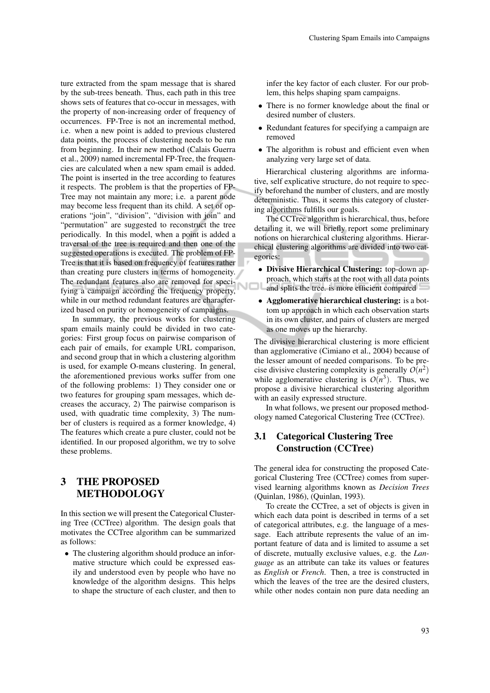ture extracted from the spam message that is shared by the sub-trees beneath. Thus, each path in this tree shows sets of features that co-occur in messages, with the property of non-increasing order of frequency of occurrences. FP-Tree is not an incremental method, i.e. when a new point is added to previous clustered data points, the process of clustering needs to be run from beginning. In their new method (Calais Guerra et al., 2009) named incremental FP-Tree, the frequencies are calculated when a new spam email is added. The point is inserted in the tree according to features it respects. The problem is that the properties of FP-Tree may not maintain any more; i.e. a parent node may become less frequent than its child. A set of operations "join", "division", "division with join" and "permutation" are suggested to reconstruct the tree periodically. In this model, when a point is added a traversal of the tree is required and then one of the suggested operations is executed. The problem of FP-Tree is that it is based on frequency of features rather than creating pure clusters in terms of homogeneity. The redundant features also are removed for specifying a campaign according the frequency property, while in our method redundant features are characterized based on purity or homogeneity of campaigns.

In summary, the previous works for clustering spam emails mainly could be divided in two categories: First group focus on pairwise comparison of each pair of emails, for example URL comparison, and second group that in which a clustering algorithm is used, for example O-means clustering. In general, the aforementioned previous works suffer from one of the following problems: 1) They consider one or two features for grouping spam messages, which decreases the accuracy, 2) The pairwise comparison is used, with quadratic time complexity, 3) The number of clusters is required as a former knowledge, 4) The features which create a pure cluster, could not be identified. In our proposed algorithm, we try to solve these problems.

## 3 THE PROPOSED **METHODOLOGY**

In this section we will present the Categorical Clustering Tree (CCTree) algorithm. The design goals that motivates the CCTree algorithm can be summarized as follows:

• The clustering algorithm should produce an informative structure which could be expressed easily and understood even by people who have no knowledge of the algorithm designs. This helps to shape the structure of each cluster, and then to infer the key factor of each cluster. For our problem, this helps shaping spam campaigns.

- There is no former knowledge about the final or desired number of clusters.
- Redundant features for specifying a campaign are removed
- The algorithm is robust and efficient even when analyzing very large set of data.

Hierarchical clustering algorithms are informative, self explicative structure, do not require to specify beforehand the number of clusters, and are mostly deterministic. Thus, it seems this category of clustering algorithms fulfills our goals.

The CCTree algorithm is hierarchical, thus, before detailing it, we will briefly report some preliminary notions on hierarchical clustering algorithms. Hierarchical clustering algorithms are divided into two categories:

- Divisive Hierarchical Clustering: top-down approach, which starts at the root with all data points and splits the tree. is more efficient compared
- Agglomerative hierarchical clustering: is a bottom up approach in which each observation starts in its own cluster, and pairs of clusters are merged as one moves up the hierarchy.

The divisive hierarchical clustering is more efficient than agglomerative (Cimiano et al., 2004) because of the lesser amount of needed comparisons. To be precise divisive clustering complexity is generally  $O(n^2)$ while agglomerative clustering is  $O(n^3)$ . Thus, we propose a divisive hierarchical clustering algorithm with an easily expressed structure.

In what follows, we present our proposed methodology named Categorical Clustering Tree (CCTree).

### 3.1 Categorical Clustering Tree Construction (CCTree)

The general idea for constructing the proposed Categorical Clustering Tree (CCTree) comes from supervised learning algorithms known as *Decision Trees* (Quinlan, 1986), (Quinlan, 1993).

To create the CCTree, a set of objects is given in which each data point is described in terms of a set of categorical attributes, e.g. the language of a message. Each attribute represents the value of an important feature of data and is limited to assume a set of discrete, mutually exclusive values, e.g. the *Language* as an attribute can take its values or features as *English* or *French*. Then, a tree is constructed in which the leaves of the tree are the desired clusters, while other nodes contain non pure data needing an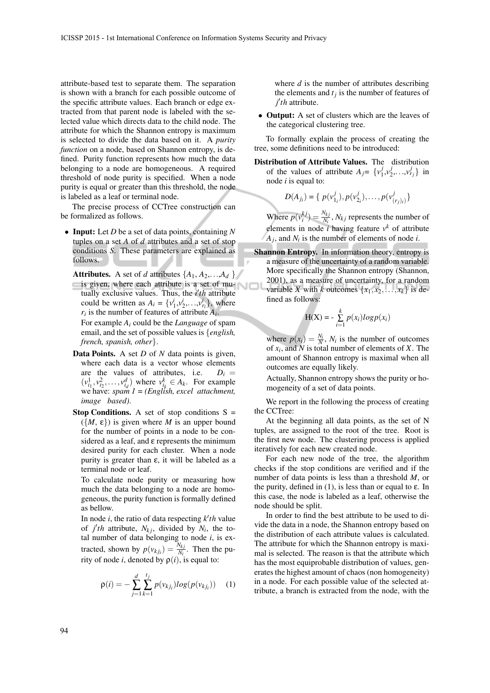attribute-based test to separate them. The separation is shown with a branch for each possible outcome of the specific attribute values. Each branch or edge extracted from that parent node is labeled with the selected value which directs data to the child node. The attribute for which the Shannon entropy is maximum is selected to divide the data based on it. A *purity function* on a node, based on Shannon entropy, is defined. Purity function represents how much the data belonging to a node are homogeneous. A required threshold of node purity is specified. When a node purity is equal or greater than this threshold, the node is labeled as a leaf or terminal node.

The precise process of CCTree construction can be formalized as follows.

- Input: Let *D* be a set of data points, containing *N* tuples on a set *A* of *d* attributes and a set of stop conditions *S*. These parameters are explained as follows.
	- **Attributes.** A set of *d* attributes  $\{A_1, A_2, \ldots, A_d\}$ is given, where each attribute is a set of mutually exclusive values. Thus, the *i'th* attribute could be written as  $A_i = \{v_1^i, v_2^i, \dots, v_{r_i}^i\}$ , where  $r_i$  is the number of features of attribute  $A_i$ .

For example *A<sup>i</sup>* could be the *Language* of spam email, and the set of possible values is {*english, french, spanish, other*}.

- Data Points. A set *D* of *N* data points is given, where each data is a vector whose elements are the values of attributes, i.e.  $D_i =$  $(v_{i_1}^1, v_{i_2}^2, \ldots, v_{i_d}^d)$  where  $v_{i_k}^k \in A_k$ . For example we have: *spam 1 = (English, excel attachment, image based)*.
- **Stop Conditions.** A set of stop conditions  $S =$  $({M, \varepsilon})$  is given where *M* is an upper bound for the number of points in a node to be considered as a leaf, and ε represents the minimum desired purity for each cluster. When a node purity is greater than  $\varepsilon$ , it will be labeled as a terminal node or leaf.

To calculate node purity or measuring how much the data belonging to a node are homogeneous, the purity function is formally defined as bellow.

In node  $i$ , the ratio of data respecting  $k'$ th value of *j'th* attribute,  $N_{kj}$ , divided by  $N_i$ , the total number of data belonging to node *i*, is extracted, shown by  $p(v_{kj_i}) = \frac{N_{kj}}{N_i}$ . Then the purity of node *i*, denoted by  $\rho(i)$ , is equal to:

$$
\rho(i) = -\sum_{j=1}^{d} \sum_{k=1}^{t_j} p(v_{kj_i}) log(p(v_{kj_i})) \quad (1)
$$

where *d* is the number of attributes describing the elements and  $t_j$  is the number of features of *j* 0 *th* attribute.

• **Output:** A set of clusters which are the leaves of the categorical clustering tree.

To formally explain the process of creating the tree, some definitions need to be introduced:

Distribution of Attribute Values. The distribution of the values of attribute  $A_j = \{v_1^j\}$  $x_1^j, y_2^j$  $\{v_1^j, \ldots, v_{r_j}^j\}$  in node *i* is equal to:

$$
D(A_{j_i}) = \{ p(v_{1_i}^j), p(v_{2_i}^j), \dots, p(v_{(r_j)_i}^j) \}
$$

Where  $p(v_i^{kj}) = \frac{N_{kj}}{N_i}$ ,  $N_{kj}$  represents the number of elements in node *i* having feature  $v^k$  of attribute *Aj* , and *N<sup>i</sup>* is the number of elements of node *i*.

Shannon Entropy. In information theory, entropy is a measure of the uncertainty of a random variable. More specifically the Shannon entropy (Shannon, 2001), as a measure of uncertainty, for a random variable *X* with *k* outcomes  $\{x_1, x_2, \ldots, x_k\}$  is defined as follows:

$$
H(X) = -\sum_{i=1}^{k} p(x_i) log p(x_i)
$$

where  $p(x_i) = \frac{N_i}{N}$ ,  $N_i$  is the number of outcomes of *x<sup>i</sup>* , and *N* is total number of elements of *X*. The amount of Shannon entropy is maximal when all outcomes are equally likely.

Actually, Shannon entropy shows the purity or homogeneity of a set of data points.

We report in the following the process of creating the CCTree:

At the beginning all data points, as the set of N tuples, are assigned to the root of the tree. Root is the first new node. The clustering process is applied iteratively for each new created node.

For each new node of the tree, the algorithm checks if the stop conditions are verified and if the number of data points is less than a threshold *M*, or the purity, defined in (1), is less than or equal to  $\varepsilon$ . In this case, the node is labeled as a leaf, otherwise the node should be split.

In order to find the best attribute to be used to divide the data in a node, the Shannon entropy based on the distribution of each attribute values is calculated. The attribute for which the Shannon entropy is maximal is selected. The reason is that the attribute which has the most equiprobable distribution of values, generates the highest amount of chaos (non homogeneity) in a node. For each possible value of the selected attribute, a branch is extracted from the node, with the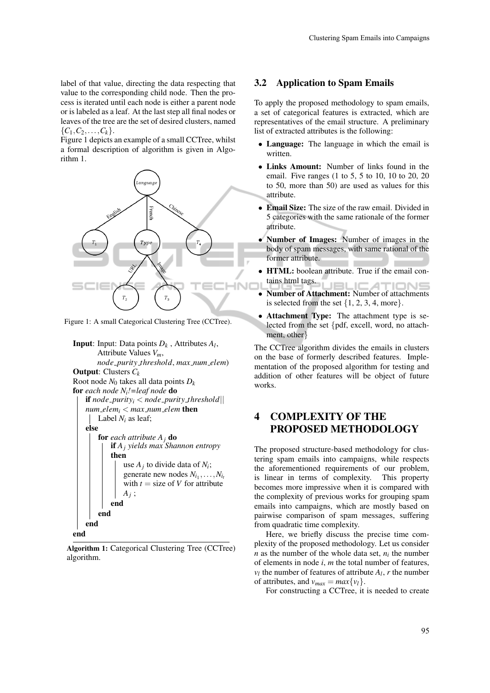label of that value, directing the data respecting that value to the corresponding child node. Then the process is iterated until each node is either a parent node or is labeled as a leaf. At the last step all final nodes or leaves of the tree are the set of desired clusters, named  ${C_1, C_2, \ldots, C_k}.$ 

Figure 1 depicts an example of a small CCTree, whilst a formal description of algorithm is given in Algorithm 1.



Figure 1: A small Categorical Clustering Tree (CCTree).

```
Input: Input: Data points Dk , Attributes Al
,
       Attribute Values Vm,
       node purity threshold, max num elem)
Output: Clusters Ck
Root node N_0 takes all data points D_kfor each node Ni!=leaf node do
   if node\_purity_i < node\_purity\_thresholdnum\_elem_i < max\_num\_elem then
       Label N_i as leaf;
   else
        for each attribute Aj do
           if Aj yields max Shannon entropy
            then
                use A_j to divide data of N_i;
                generate new nodes N_{i_1}, \ldots, N_{i_t}with t = size of V for attribute
                Aj
;
           end
       end
    end
end
```
Algorithm 1: Categorical Clustering Tree (CCTree) algorithm.

#### 3.2 Application to Spam Emails

To apply the proposed methodology to spam emails, a set of categorical features is extracted, which are representatives of the email structure. A preliminary list of extracted attributes is the following:

- Language: The language in which the email is written.
- Links Amount: Number of links found in the email. Five ranges (1 to 5, 5 to 10, 10 to 20, 20 to 50, more than 50) are used as values for this attribute.
- Email Size: The size of the raw email. Divided in 5 categories with the same rationale of the former attribute.
- Number of Images: Number of images in the body of spam messages, with same rational of the former attribute.
- HTML: boolean attribute. True if the email contains html tags. **JBLIC AT IMNE**
- Number of Attachment: Number of attachments is selected from the set  $\{1, 2, 3, 4, \text{more}\}.$
- Attachment Type: The attachment type is selected from the set {pdf, excell, word, no attachment, other}

The CCTree algorithm divides the emails in clusters on the base of formerly described features. Implementation of the proposed algorithm for testing and addition of other features will be object of future works.

### 4 COMPLEXITY OF THE PROPOSED METHODOLOGY

The proposed structure-based methodology for clustering spam emails into campaigns, while respects the aforementioned requirements of our problem, is linear in terms of complexity. This property becomes more impressive when it is compared with the complexity of previous works for grouping spam emails into campaigns, which are mostly based on pairwise comparison of spam messages, suffering from quadratic time complexity.

Here, we briefly discuss the precise time complexity of the proposed methodology. Let us consider  $n$  as the number of the whole data set,  $n_i$  the number of elements in node *i*, *m* the total number of features,  $v_l$  the number of features of attribute  $A_l$ ,  $r$  the number of attributes, and  $v_{max} = max\{v_l\}.$ 

For constructing a CCTree, it is needed to create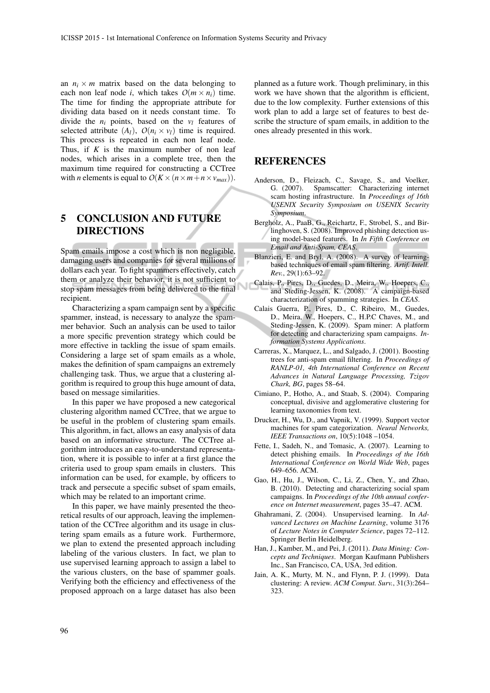an  $n_i \times m$  matrix based on the data belonging to each non leaf node *i*, which takes  $O(m \times n_i)$  time. The time for finding the appropriate attribute for dividing data based on it needs constant time. To divide the  $n_i$  points, based on the  $v_l$  features of selected attribute  $(A_l)$ ,  $O(n_i \times v_l)$  time is required. This process is repeated in each non leaf node. Thus, if *K* is the maximum number of non leaf nodes, which arises in a complete tree, then the maximum time required for constructing a CCTree with *n* elements is equal to  $O(K \times (n \times m + n \times v_{max}))$ .

# 5 CONCLUSION AND FUTURE **DIRECTIONS**

Spam emails impose a cost which is non negligible, damaging users and companies for several millions of dollars each year. To fight spammers effectively, catch them or analyze their behavior, it is not sufficient to stop spam messages from being delivered to the final recipient.

Characterizing a spam campaign sent by a specific spammer, instead, is necessary to analyze the spammer behavior. Such an analysis can be used to tailor a more specific prevention strategy which could be more effective in tackling the issue of spam emails. Considering a large set of spam emails as a whole, makes the definition of spam campaigns an extremely challenging task. Thus, we argue that a clustering algorithm is required to group this huge amount of data, based on message similarities.

In this paper we have proposed a new categorical clustering algorithm named CCTree, that we argue to be useful in the problem of clustering spam emails. This algorithm, in fact, allows an easy analysis of data based on an informative structure. The CCTree algorithm introduces an easy-to-understand representation, where it is possible to infer at a first glance the criteria used to group spam emails in clusters. This information can be used, for example, by officers to track and persecute a specific subset of spam emails, which may be related to an important crime.

In this paper, we have mainly presented the theoretical results of our approach, leaving the implementation of the CCTree algorithm and its usage in clustering spam emails as a future work. Furthermore, we plan to extend the presented approach including labeling of the various clusters. In fact, we plan to use supervised learning approach to assign a label to the various clusters, on the base of spammer goals. Verifying both the efficiency and effectiveness of the proposed approach on a large dataset has also been planned as a future work. Though preliminary, in this work we have shown that the algorithm is efficient, due to the low complexity. Further extensions of this work plan to add a large set of features to best describe the structure of spam emails, in addition to the ones already presented in this work.

### **REFERENCES**

- Anderson, D., Fleizach, C., Savage, S., and Voelker, G. (2007). Spamscatter: Characterizing internet scam hosting infrastructure. In *Proceedings of 16th USENIX Security Symposium on USENIX Security Symposium*.
- Bergholz, A., PaaB, G., Reichartz, F., Strobel, S., and Birlinghoven, S. (2008). Improved phishing detection using model-based features. In *In Fifth Conference on Email and Anti-Spam, CEAS*.
- Blanzieri, E. and Bryl, A. (2008). A survey of learningbased techniques of email spam filtering. *Artif. Intell. Rev.*, 29(1):63–92.
- Calais, P., Pires, D., Guedes, D., Meira, W., Hoepers, C., and Steding-Jessen, K. (2008). A campaign-based characterization of spamming strategies. In *CEAS*.
- Calais Guerra, P., Pires, D., C. Ribeiro, M., Guedes, D., Meira, W., Hoepers, C., H.P.C Chaves, M., and Steding-Jessen, K. (2009). Spam miner: A platform for detecting and characterizing spam campaigns. *Information Systems Applications*.
- Carreras, X., Marquez, L., and Salgado, J. (2001). Boosting trees for anti-spam email filtering. In *Proceedings of RANLP-01, 4th International Conference on Recent Advances in Natural Language Processing, Tzigov Chark, BG*, pages 58–64.
- Cimiano, P., Hotho, A., and Staab, S. (2004). Comparing conceptual, divisive and agglomerative clustering for learning taxonomies from text.
- Drucker, H., Wu, D., and Vapnik, V. (1999). Support vector machines for spam categorization. *Neural Networks, IEEE Transactions on*, 10(5):1048 –1054.
- Fette, I., Sadeh, N., and Tomasic, A. (2007). Learning to detect phishing emails. In *Proceedings of the 16th International Conference on World Wide Web*, pages 649–656. ACM.
- Gao, H., Hu, J., Wilson, C., Li, Z., Chen, Y., and Zhao, B. (2010). Detecting and characterizing social spam campaigns. In *Proceedings of the 10th annual conference on Internet measurement*, pages 35–47. ACM.
- Ghahramani, Z. (2004). Unsupervised learning. In *Advanced Lectures on Machine Learning*, volume 3176 of *Lecture Notes in Computer Science*, pages 72–112. Springer Berlin Heidelberg.
- Han, J., Kamber, M., and Pei, J. (2011). *Data Mining: Concepts and Techniques*. Morgan Kaufmann Publishers Inc., San Francisco, CA, USA, 3rd edition.
- Jain, A. K., Murty, M. N., and Flynn, P. J. (1999). Data clustering: A review. *ACM Comput. Surv.*, 31(3):264– 323.